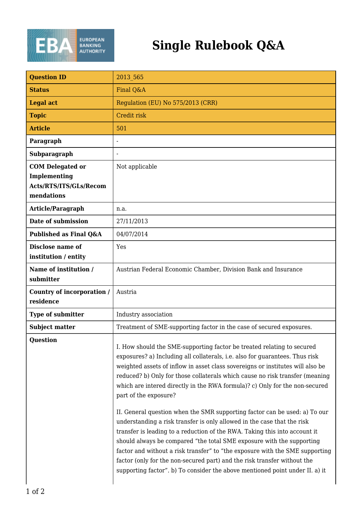

## **Single Rulebook Q&A**

| <b>Question ID</b>                                                              | 2013 565                                                                                                                                                                                                                                                                                                                                                                                                                                                                                                       |
|---------------------------------------------------------------------------------|----------------------------------------------------------------------------------------------------------------------------------------------------------------------------------------------------------------------------------------------------------------------------------------------------------------------------------------------------------------------------------------------------------------------------------------------------------------------------------------------------------------|
| <b>Status</b>                                                                   | Final Q&A                                                                                                                                                                                                                                                                                                                                                                                                                                                                                                      |
| <b>Legal act</b>                                                                | Regulation (EU) No 575/2013 (CRR)                                                                                                                                                                                                                                                                                                                                                                                                                                                                              |
| <b>Topic</b>                                                                    | Credit risk                                                                                                                                                                                                                                                                                                                                                                                                                                                                                                    |
| <b>Article</b>                                                                  | 501                                                                                                                                                                                                                                                                                                                                                                                                                                                                                                            |
| Paragraph                                                                       |                                                                                                                                                                                                                                                                                                                                                                                                                                                                                                                |
| Subparagraph                                                                    |                                                                                                                                                                                                                                                                                                                                                                                                                                                                                                                |
| <b>COM Delegated or</b><br>Implementing<br>Acts/RTS/ITS/GLs/Recom<br>mendations | Not applicable                                                                                                                                                                                                                                                                                                                                                                                                                                                                                                 |
| Article/Paragraph                                                               | n.a.                                                                                                                                                                                                                                                                                                                                                                                                                                                                                                           |
| Date of submission                                                              | 27/11/2013                                                                                                                                                                                                                                                                                                                                                                                                                                                                                                     |
| Published as Final Q&A                                                          | 04/07/2014                                                                                                                                                                                                                                                                                                                                                                                                                                                                                                     |
| Disclose name of<br>institution / entity                                        | Yes                                                                                                                                                                                                                                                                                                                                                                                                                                                                                                            |
| Name of institution /<br>submitter                                              | Austrian Federal Economic Chamber, Division Bank and Insurance                                                                                                                                                                                                                                                                                                                                                                                                                                                 |
| Country of incorporation /<br>residence                                         | Austria                                                                                                                                                                                                                                                                                                                                                                                                                                                                                                        |
| <b>Type of submitter</b>                                                        | Industry association                                                                                                                                                                                                                                                                                                                                                                                                                                                                                           |
| <b>Subject matter</b>                                                           | Treatment of SME-supporting factor in the case of secured exposures.                                                                                                                                                                                                                                                                                                                                                                                                                                           |
| <b>Question</b>                                                                 | I. How should the SME-supporting factor be treated relating to secured<br>exposures? a) Including all collaterals, i.e. also for guarantees. Thus risk<br>weighted assets of inflow in asset class sovereigns or institutes will also be<br>reduced? b) Only for those collaterals which cause no risk transfer (meaning<br>which are intered directly in the RWA formula)? c) Only for the non-secured<br>part of the exposure?<br>II. General question when the SMR supporting factor can be used: a) To our |
|                                                                                 | understanding a risk transfer is only allowed in the case that the risk<br>transfer is leading to a reduction of the RWA. Taking this into account it<br>should always be compared "the total SME exposure with the supporting<br>factor and without a risk transfer" to "the exposure with the SME supporting<br>factor (only for the non-secured part) and the risk transfer without the<br>supporting factor". b) To consider the above mentioned point under II. a) it                                     |